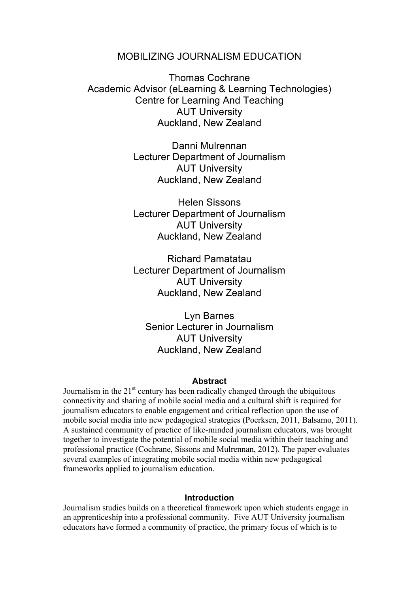# MOBILIZING JOURNALISM EDUCATION

Thomas Cochrane Academic Advisor (eLearning & Learning Technologies) Centre for Learning And Teaching AUT University Auckland, New Zealand

> Danni Mulrennan Lecturer Department of Journalism AUT University Auckland, New Zealand

> Helen Sissons Lecturer Department of Journalism AUT University Auckland, New Zealand

> Richard Pamatatau Lecturer Department of Journalism AUT University Auckland, New Zealand

Lyn Barnes Senior Lecturer in Journalism AUT University Auckland, New Zealand

#### **Abstract**

Journalism in the  $21<sup>st</sup>$  century has been radically changed through the ubiquitous connectivity and sharing of mobile social media and a cultural shift is required for journalism educators to enable engagement and critical reflection upon the use of mobile social media into new pedagogical strategies (Poerksen, 2011, Balsamo, 2011). A sustained community of practice of like-minded journalism educators, was brought together to investigate the potential of mobile social media within their teaching and professional practice (Cochrane, Sissons and Mulrennan, 2012). The paper evaluates several examples of integrating mobile social media within new pedagogical frameworks applied to journalism education.

#### **Introduction**

Journalism studies builds on a theoretical framework upon which students engage in an apprenticeship into a professional community. Five AUT University journalism educators have formed a community of practice, the primary focus of which is to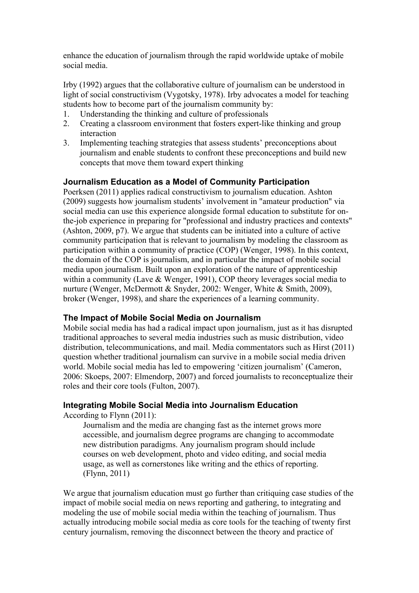enhance the education of journalism through the rapid worldwide uptake of mobile social media.

Irby (1992) argues that the collaborative culture of journalism can be understood in light of social constructivism (Vygotsky, 1978). Irby advocates a model for teaching students how to become part of the journalism community by:

- 1. Understanding the thinking and culture of professionals
- 2. Creating a classroom environment that fosters expert-like thinking and group interaction
- 3. Implementing teaching strategies that assess students' preconceptions about journalism and enable students to confront these preconceptions and build new concepts that move them toward expert thinking

# **Journalism Education as a Model of Community Participation**

Poerksen (2011) applies radical constructivism to journalism education. Ashton (2009) suggests how journalism students' involvement in "amateur production" via social media can use this experience alongside formal education to substitute for onthe-job experience in preparing for "professional and industry practices and contexts" (Ashton, 2009, p7). We argue that students can be initiated into a culture of active community participation that is relevant to journalism by modeling the classroom as participation within a community of practice (COP) (Wenger, 1998). In this context, the domain of the COP is journalism, and in particular the impact of mobile social media upon journalism. Built upon an exploration of the nature of apprenticeship within a community (Lave & Wenger, 1991), COP theory leverages social media to nurture (Wenger, McDermott & Snyder, 2002: Wenger, White & Smith, 2009), broker (Wenger, 1998), and share the experiences of a learning community.

# **The Impact of Mobile Social Media on Journalism**

Mobile social media has had a radical impact upon journalism, just as it has disrupted traditional approaches to several media industries such as music distribution, video distribution, telecommunications, and mail. Media commentators such as Hirst (2011) question whether traditional journalism can survive in a mobile social media driven world. Mobile social media has led to empowering 'citizen journalism' (Cameron, 2006: Skoeps, 2007: Elmendorp, 2007) and forced journalists to reconceptualize their roles and their core tools (Fulton, 2007).

# **Integrating Mobile Social Media into Journalism Education**

According to Flynn (2011):

Journalism and the media are changing fast as the internet grows more accessible, and journalism degree programs are changing to accommodate new distribution paradigms. Any journalism program should include courses on web development, photo and video editing, and social media usage, as well as cornerstones like writing and the ethics of reporting. (Flynn, 2011)

We argue that journalism education must go further than critiquing case studies of the impact of mobile social media on news reporting and gathering, to integrating and modeling the use of mobile social media within the teaching of journalism. Thus actually introducing mobile social media as core tools for the teaching of twenty first century journalism, removing the disconnect between the theory and practice of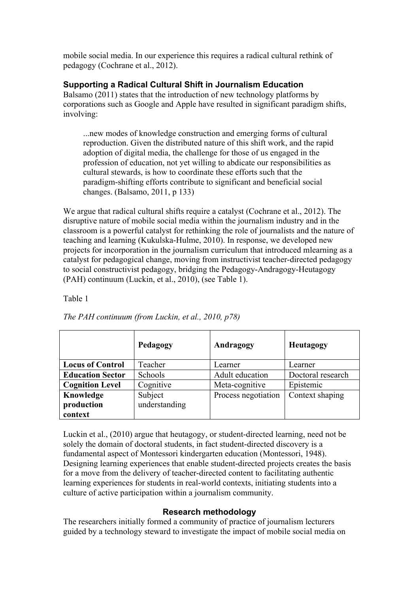mobile social media. In our experience this requires a radical cultural rethink of pedagogy (Cochrane et al., 2012).

# **Supporting a Radical Cultural Shift in Journalism Education**

Balsamo (2011) states that the introduction of new technology platforms by corporations such as Google and Apple have resulted in significant paradigm shifts, involving:

...new modes of knowledge construction and emerging forms of cultural reproduction. Given the distributed nature of this shift work, and the rapid adoption of digital media, the challenge for those of us engaged in the profession of education, not yet willing to abdicate our responsibilities as cultural stewards, is how to coordinate these efforts such that the paradigm-shifting efforts contribute to significant and beneficial social changes. (Balsamo, 2011, p 133)

We argue that radical cultural shifts require a catalyst (Cochrane et al., 2012). The disruptive nature of mobile social media within the journalism industry and in the classroom is a powerful catalyst for rethinking the role of journalists and the nature of teaching and learning (Kukulska-Hulme, 2010). In response, we developed new projects for incorporation in the journalism curriculum that introduced mlearning as a catalyst for pedagogical change, moving from instructivist teacher-directed pedagogy to social constructivist pedagogy, bridging the Pedagogy-Andragogy-Heutagogy (PAH) continuum (Luckin, et al., 2010), (see Table 1).

Table 1

|                         | Pedagogy      | Andragogy<br>Heutagogy |                   |  |
|-------------------------|---------------|------------------------|-------------------|--|
| <b>Locus of Control</b> | Teacher       | Learner                | Learner           |  |
| <b>Education Sector</b> | Schools       | Adult education        | Doctoral research |  |
| <b>Cognition Level</b>  | Cognitive     | Meta-cognitive         | Epistemic         |  |
| Knowledge               | Subject       | Process negotiation    | Context shaping   |  |
| production              | understanding |                        |                   |  |
| context                 |               |                        |                   |  |

*The PAH continuum (from Luckin, et al., 2010, p78)*

Luckin et al., (2010) argue that heutagogy, or student-directed learning, need not be solely the domain of doctoral students, in fact student-directed discovery is a fundamental aspect of Montessori kindergarten education (Montessori, 1948). Designing learning experiences that enable student-directed projects creates the basis for a move from the delivery of teacher-directed content to facilitating authentic learning experiences for students in real-world contexts, initiating students into a culture of active participation within a journalism community.

# **Research methodology**

The researchers initially formed a community of practice of journalism lecturers guided by a technology steward to investigate the impact of mobile social media on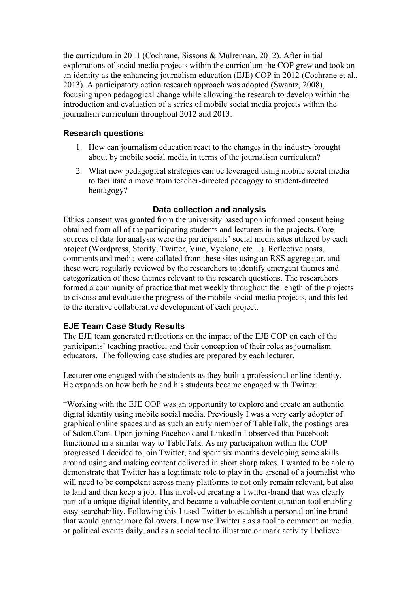the curriculum in 2011 (Cochrane, Sissons & Mulrennan, 2012). After initial explorations of social media projects within the curriculum the COP grew and took on an identity as the enhancing journalism education (EJE) COP in 2012 (Cochrane et al., 2013). A participatory action research approach was adopted (Swantz, 2008), focusing upon pedagogical change while allowing the research to develop within the introduction and evaluation of a series of mobile social media projects within the journalism curriculum throughout 2012 and 2013.

# **Research questions**

- 1. How can journalism education react to the changes in the industry brought about by mobile social media in terms of the journalism curriculum?
- 2. What new pedagogical strategies can be leveraged using mobile social media to facilitate a move from teacher-directed pedagogy to student-directed heutagogy?

# **Data collection and analysis**

Ethics consent was granted from the university based upon informed consent being obtained from all of the participating students and lecturers in the projects. Core sources of data for analysis were the participants' social media sites utilized by each project (Wordpress, Storify, Twitter, Vine, Vyclone, etc…). Reflective posts, comments and media were collated from these sites using an RSS aggregator, and these were regularly reviewed by the researchers to identify emergent themes and categorization of these themes relevant to the research questions. The researchers formed a community of practice that met weekly throughout the length of the projects to discuss and evaluate the progress of the mobile social media projects, and this led to the iterative collaborative development of each project.

# **EJE Team Case Study Results**

The EJE team generated reflections on the impact of the EJE COP on each of the participants' teaching practice, and their conception of their roles as journalism educators. The following case studies are prepared by each lecturer.

Lecturer one engaged with the students as they built a professional online identity. He expands on how both he and his students became engaged with Twitter:

"Working with the EJE COP was an opportunity to explore and create an authentic digital identity using mobile social media. Previously I was a very early adopter of graphical online spaces and as such an early member of TableTalk, the postings area of Salon.Com. Upon joining Facebook and LinkedIn I observed that Facebook functioned in a similar way to TableTalk. As my participation within the COP progressed I decided to join Twitter, and spent six months developing some skills around using and making content delivered in short sharp takes. I wanted to be able to demonstrate that Twitter has a legitimate role to play in the arsenal of a journalist who will need to be competent across many platforms to not only remain relevant, but also to land and then keep a job. This involved creating a Twitter-brand that was clearly part of a unique digital identity, and became a valuable content curation tool enabling easy searchability. Following this I used Twitter to establish a personal online brand that would garner more followers. I now use Twitter s as a tool to comment on media or political events daily, and as a social tool to illustrate or mark activity I believe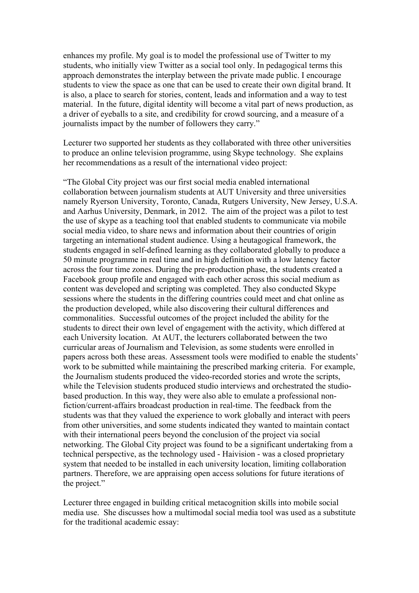enhances my profile. My goal is to model the professional use of Twitter to my students, who initially view Twitter as a social tool only. In pedagogical terms this approach demonstrates the interplay between the private made public. I encourage students to view the space as one that can be used to create their own digital brand. It is also, a place to search for stories, content, leads and information and a way to test material. In the future, digital identity will become a vital part of news production, as a driver of eyeballs to a site, and credibility for crowd sourcing, and a measure of a journalists impact by the number of followers they carry."

Lecturer two supported her students as they collaborated with three other universities to produce an online television programme, using Skype technology. She explains her recommendations as a result of the international video project:

"The Global City project was our first social media enabled international collaboration between journalism students at AUT University and three universities namely Ryerson University, Toronto, Canada, Rutgers University, New Jersey, U.S.A. and Aarhus University, Denmark, in 2012. The aim of the project was a pilot to test the use of skype as a teaching tool that enabled students to communicate via mobile social media video, to share news and information about their countries of origin targeting an international student audience. Using a heutagogical framework, the students engaged in self-defined learning as they collaborated globally to produce a 50 minute programme in real time and in high definition with a low latency factor across the four time zones. During the pre-production phase, the students created a Facebook group profile and engaged with each other across this social medium as content was developed and scripting was completed. They also conducted Skype sessions where the students in the differing countries could meet and chat online as the production developed, while also discovering their cultural differences and commonalities. Successful outcomes of the project included the ability for the students to direct their own level of engagement with the activity, which differed at each University location. At AUT, the lecturers collaborated between the two curricular areas of Journalism and Television, as some students were enrolled in papers across both these areas. Assessment tools were modified to enable the students' work to be submitted while maintaining the prescribed marking criteria. For example, the Journalism students produced the video-recorded stories and wrote the scripts, while the Television students produced studio interviews and orchestrated the studiobased production. In this way, they were also able to emulate a professional nonfiction/current-affairs broadcast production in real-time. The feedback from the students was that they valued the experience to work globally and interact with peers from other universities, and some students indicated they wanted to maintain contact with their international peers beyond the conclusion of the project via social networking. The Global City project was found to be a significant undertaking from a technical perspective, as the technology used - Haivision - was a closed proprietary system that needed to be installed in each university location, limiting collaboration partners. Therefore, we are appraising open access solutions for future iterations of the project."

Lecturer three engaged in building critical metacognition skills into mobile social media use. She discusses how a multimodal social media tool was used as a substitute for the traditional academic essay: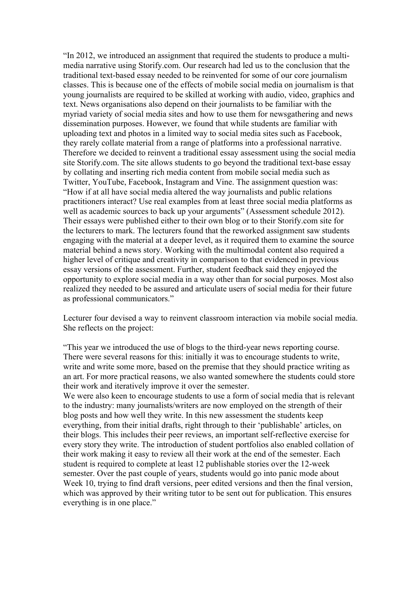"In 2012, we introduced an assignment that required the students to produce a multimedia narrative using Storify.com. Our research had led us to the conclusion that the traditional text-based essay needed to be reinvented for some of our core journalism classes. This is because one of the effects of mobile social media on journalism is that young journalists are required to be skilled at working with audio, video, graphics and text. News organisations also depend on their journalists to be familiar with the myriad variety of social media sites and how to use them for newsgathering and news dissemination purposes. However, we found that while students are familiar with uploading text and photos in a limited way to social media sites such as Facebook, they rarely collate material from a range of platforms into a professional narrative. Therefore we decided to reinvent a traditional essay assessment using the social media site Storify.com. The site allows students to go beyond the traditional text-base essay by collating and inserting rich media content from mobile social media such as Twitter, YouTube, Facebook, Instagram and Vine. The assignment question was: "How if at all have social media altered the way journalists and public relations practitioners interact? Use real examples from at least three social media platforms as well as academic sources to back up your arguments" (Assessment schedule 2012). Their essays were published either to their own blog or to their Storify.com site for the lecturers to mark. The lecturers found that the reworked assignment saw students engaging with the material at a deeper level, as it required them to examine the source material behind a news story. Working with the multimodal content also required a higher level of critique and creativity in comparison to that evidenced in previous essay versions of the assessment. Further, student feedback said they enjoyed the opportunity to explore social media in a way other than for social purposes. Most also realized they needed to be assured and articulate users of social media for their future as professional communicators."

Lecturer four devised a way to reinvent classroom interaction via mobile social media. She reflects on the project:

"This year we introduced the use of blogs to the third-year news reporting course. There were several reasons for this: initially it was to encourage students to write, write and write some more, based on the premise that they should practice writing as an art. For more practical reasons, we also wanted somewhere the students could store their work and iteratively improve it over the semester.

We were also keen to encourage students to use a form of social media that is relevant to the industry: many journalists/writers are now employed on the strength of their blog posts and how well they write. In this new assessment the students keep everything, from their initial drafts, right through to their 'publishable' articles, on their blogs. This includes their peer reviews, an important self-reflective exercise for every story they write. The introduction of student portfolios also enabled collation of their work making it easy to review all their work at the end of the semester. Each student is required to complete at least 12 publishable stories over the 12-week semester. Over the past couple of years, students would go into panic mode about Week 10, trying to find draft versions, peer edited versions and then the final version, which was approved by their writing tutor to be sent out for publication. This ensures everything is in one place."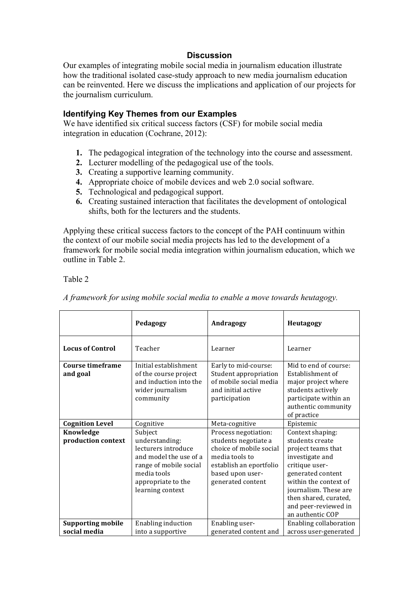### **Discussion**

Our examples of integrating mobile social media in journalism education illustrate how the traditional isolated case-study approach to new media journalism education can be reinvented. Here we discuss the implications and application of our projects for the journalism curriculum.

### **Identifying Key Themes from our Examples**

We have identified six critical success factors (CSF) for mobile social media integration in education (Cochrane, 2012):

- **1.** The pedagogical integration of the technology into the course and assessment.
- **2.** Lecturer modelling of the pedagogical use of the tools.
- **3.** Creating a supportive learning community.
- **4.** Appropriate choice of mobile devices and web 2.0 social software.
- **5.** Technological and pedagogical support.
- **6.** Creating sustained interaction that facilitates the development of ontological shifts, both for the lecturers and the students.

Applying these critical success factors to the concept of the PAH continuum within the context of our mobile social media projects has led to the development of a framework for mobile social media integration within journalism education, which we outline in Table 2.

#### Table 2

|                                          | Pedagogy                                                                                                                                                      | Andragogy                                                                                                                                                     | Heutagogy                                                                                                                                                                                                                                  |  |
|------------------------------------------|---------------------------------------------------------------------------------------------------------------------------------------------------------------|---------------------------------------------------------------------------------------------------------------------------------------------------------------|--------------------------------------------------------------------------------------------------------------------------------------------------------------------------------------------------------------------------------------------|--|
| <b>Locus of Control</b>                  | Teacher                                                                                                                                                       | Learner                                                                                                                                                       | Learner                                                                                                                                                                                                                                    |  |
| Course timeframe<br>and goal             | Initial establishment<br>of the course project<br>and induction into the<br>wider journalism<br>community                                                     | Early to mid-course:<br>Student appropriation<br>of mobile social media<br>and initial active<br>participation                                                | Mid to end of course:<br>Establishment of<br>major project where<br>students actively<br>participate within an<br>authentic community<br>of practice                                                                                       |  |
| <b>Cognition Level</b>                   | Cognitive                                                                                                                                                     | Meta-cognitive                                                                                                                                                | Epistemic                                                                                                                                                                                                                                  |  |
| Knowledge<br>production context          | Subject<br>understanding:<br>lecturers introduce<br>and model the use of a<br>range of mobile social<br>media tools<br>appropriate to the<br>learning context | Process negotiation:<br>students negotiate a<br>choice of mobile social<br>media tools to<br>establish an eportfolio<br>based upon user-<br>generated content | Context shaping:<br>students create<br>project teams that<br>investigate and<br>critique user-<br>generated content<br>within the context of<br>journalism. These are<br>then shared, curated,<br>and peer-reviewed in<br>an authentic COP |  |
| <b>Supporting mobile</b><br>social media | <b>Enabling induction</b><br>into a supportive                                                                                                                | Enabling user-<br>generated content and                                                                                                                       | Enabling collaboration<br>across user-generated                                                                                                                                                                                            |  |

*A framework for using mobile social media to enable a move towards heutagogy.*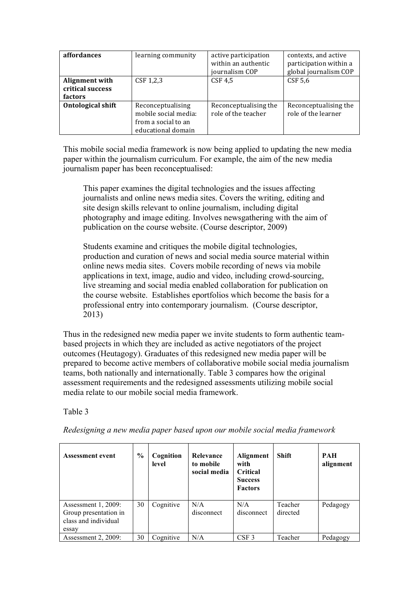| <i>affordances</i>                                   | learning community                                                                     | active participation<br>within an authentic<br>journalism COP | contexts, and active<br>participation within a<br>global journalism COP |
|------------------------------------------------------|----------------------------------------------------------------------------------------|---------------------------------------------------------------|-------------------------------------------------------------------------|
| Alignment with<br>critical success<br><b>factors</b> | $CSF$ 1,2,3                                                                            | CSF 4,5                                                       | CSF 5,6                                                                 |
| <b>Ontological shift</b>                             | Reconceptualising<br>mobile social media:<br>from a social to an<br>educational domain | Reconceptualising the<br>role of the teacher                  | Reconceptualising the<br>role of the learner                            |

This mobile social media framework is now being applied to updating the new media paper within the journalism curriculum. For example, the aim of the new media journalism paper has been reconceptualised:

This paper examines the digital technologies and the issues affecting journalists and online news media sites. Covers the writing, editing and site design skills relevant to online journalism, including digital photography and image editing. Involves newsgathering with the aim of publication on the course website. (Course descriptor, 2009)

Students examine and critiques the mobile digital technologies, production and curation of news and social media source material within online news media sites. Covers mobile recording of news via mobile applications in text, image, audio and video, including crowd-sourcing, live streaming and social media enabled collaboration for publication on the course website. Establishes eportfolios which become the basis for a professional entry into contemporary journalism. (Course descriptor, 2013)

Thus in the redesigned new media paper we invite students to form authentic teambased projects in which they are included as active negotiators of the project outcomes (Heutagogy). Graduates of this redesigned new media paper will be prepared to become active members of collaborative mobile social media journalism teams, both nationally and internationally. Table 3 compares how the original assessment requirements and the redesigned assessments utilizing mobile social media relate to our mobile social media framework.

# Table 3

**Assessment event % Cognition level Relevance to mobile social media Alignment with Critical Success Factors Shift PAH alignment**  Assessment 1, 2009: Group presentation in class and individual essay 30 Cognitive N/A disconnect  $N/A$ disconnect Teacher directed Pedagogy Assessment 2, 2009: 30 Cognitive N/A CSF 3 Teacher Pedagogy

*Redesigning a new media paper based upon our mobile social media framework*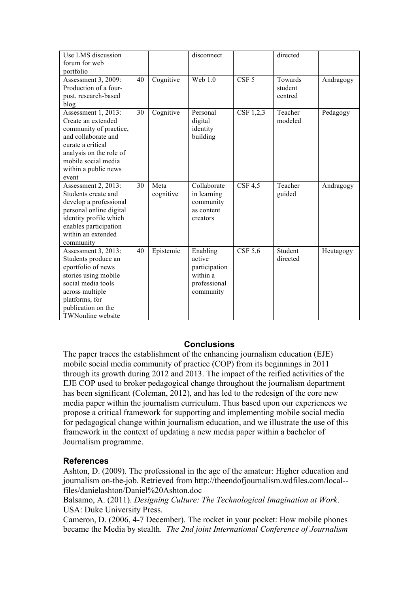| Use LMS discussion<br>forum for web                                                                                                                                                                   |    |                   | disconnect                                                                   |                  | directed                      |           |
|-------------------------------------------------------------------------------------------------------------------------------------------------------------------------------------------------------|----|-------------------|------------------------------------------------------------------------------|------------------|-------------------------------|-----------|
| portfolio                                                                                                                                                                                             |    |                   |                                                                              |                  |                               |           |
| Assessment 3, 2009:<br>Production of a four-<br>post, research-based<br>blog                                                                                                                          | 40 | Cognitive         | <b>Web 1.0</b>                                                               | CSF <sub>5</sub> | Towards<br>student<br>centred | Andragogy |
| Assessment 1, 2013:<br>Create an extended<br>community of practice,<br>and collaborate and<br>curate a critical<br>analysis on the role of<br>mobile social media<br>within a public news<br>event    | 30 | Cognitive         | Personal<br>digital<br>identity<br>building                                  | CSF 1,2,3        | Teacher<br>modeled            | Pedagogy  |
| Assessment 2, 2013:<br>Students create and<br>develop a professional<br>personal online digital<br>identity profile which<br>enables participation<br>within an extended<br>community                 | 30 | Meta<br>cognitive | Collaborate<br>in learning<br>community<br>as content<br>creators            | CSF 4.5          | Teacher<br>guided             | Andragogy |
| Assessment 3, 2013:<br>Students produce an<br>eportfolio of news<br>stories using mobile<br>social media tools<br>across multiple<br>platforms, for<br>publication on the<br><b>TWNonline</b> website | 40 | Epistemic         | Enabling<br>active<br>participation<br>within a<br>professional<br>community | $CSF$ 5,6        | Student<br>directed           | Heutagogy |

# **Conclusions**

The paper traces the establishment of the enhancing journalism education (EJE) mobile social media community of practice (COP) from its beginnings in 2011 through its growth during 2012 and 2013. The impact of the reified activities of the EJE COP used to broker pedagogical change throughout the journalism department has been significant (Coleman, 2012), and has led to the redesign of the core new media paper within the journalism curriculum. Thus based upon our experiences we propose a critical framework for supporting and implementing mobile social media for pedagogical change within journalism education, and we illustrate the use of this framework in the context of updating a new media paper within a bachelor of Journalism programme.

# **References**

Ashton, D. (2009). The professional in the age of the amateur: Higher education and journalism on-the-job. Retrieved from http://theendofjournalism.wdfiles.com/local- files/danielashton/Daniel%20Ashton.doc

Balsamo, A. (2011). *Designing Culture: The Technological Imagination at Work*. USA: Duke University Press.

Cameron, D. (2006, 4-7 December). The rocket in your pocket: How mobile phones became the Media by stealth. *The 2nd joint International Conference of Journalism*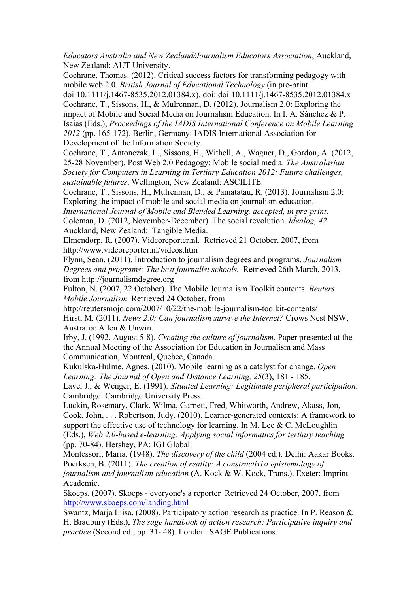*Educators Australia and New Zealand/Journalism Educators Association*, Auckland, New Zealand: AUT University.

Cochrane, Thomas. (2012). Critical success factors for transforming pedagogy with mobile web 2.0. *British Journal of Educational Technology* (in pre-print

doi:10.1111/j.1467-8535.2012.01384.x). doi: doi:10.1111/j.1467-8535.2012.01384.x Cochrane, T., Sissons, H., & Mulrennan, D. (2012). Journalism 2.0: Exploring the impact of Mobile and Social Media on Journalism Education. In I. A. Sánchez & P. Isaias (Eds.), *Proceedings of the IADIS International Conference on Mobile Learning 2012* (pp. 165-172). Berlin, Germany: IADIS International Association for Development of the Information Society.

Cochrane, T., Antonczak, L., Sissons, H., Withell, A., Wagner, D., Gordon, A. (2012, 25-28 November). Post Web 2.0 Pedagogy: Mobile social media. *The Australasian Society for Computers in Learning in Tertiary Education 2012: Future challenges, sustainable futures*. Wellington, New Zealand: ASCILITE.

Cochrane, T., Sissons, H., Mulrennan, D., & Pamatatau, R. (2013). Journalism 2.0: Exploring the impact of mobile and social media on journalism education.

*International Journal of Mobile and Blended Learning, accepted, in pre-print*. Coleman, D. (2012, November-December). The social revolution. *Idealog, 42*. Auckland, New Zealand: Tangible Media.

Elmendorp, R. (2007). Videoreporter.nl. Retrieved 21 October, 2007, from http://www.videoreporter.nl/videos.htm

Flynn, Sean. (2011). Introduction to journalism degrees and programs. *Journalism Degrees and programs: The best journalist schools.* Retrieved 26th March, 2013, from http://journalismdegree.org

Fulton, N. (2007, 22 October). The Mobile Journalism Toolkit contents. *Reuters Mobile Journalism* Retrieved 24 October, from

http://reutersmojo.com/2007/10/22/the-mobile-journalism-toolkit-contents/ Hirst, M. (2011). *News 2.0: Can journalism survive the Internet?* Crows Nest NSW, Australia: Allen & Unwin.

Irby, J. (1992, August 5-8). *Creating the culture of journalism.* Paper presented at the the Annual Meeting of the Association for Education in Journalism and Mass Communication, Montreal, Quebec, Canada.

Kukulska-Hulme, Agnes. (2010). Mobile learning as a catalyst for change. *Open Learning: The Journal of Open and Distance Learning, 25*(3), 181 - 185.

Lave, J., & Wenger, E. (1991). *Situated Learning: Legitimate peripheral participation*. Cambridge: Cambridge University Press.

Luckin, Rosemary, Clark, Wilma, Garnett, Fred, Whitworth, Andrew, Akass, Jon, Cook, John, . . . Robertson, Judy. (2010). Learner-generated contexts: A framework to support the effective use of technology for learning. In M. Lee  $& C.$  McLoughlin (Eds.), *Web 2.0-based e-learning: Applying social informatics for tertiary teaching* (pp. 70-84). Hershey, PA: IGI Global.

Montessori, Maria. (1948). *The discovery of the child* (2004 ed.). Delhi: Aakar Books. Poerksen, B. (2011). *The creation of reality: A constructivist epistemology of journalism and journalism education* (A. Kock & W. Kock, Trans.). Exeter: Imprint Academic.

Skoeps. (2007). Skoeps - everyone's a reporter Retrieved 24 October, 2007, from http://www.skoeps.com/landing.html

Swantz, Marja Liisa. (2008). Participatory action research as practice. In P. Reason & H. Bradbury (Eds.), *The sage handbook of action research: Participative inquiry and practice* (Second ed., pp. 31- 48). London: SAGE Publications.